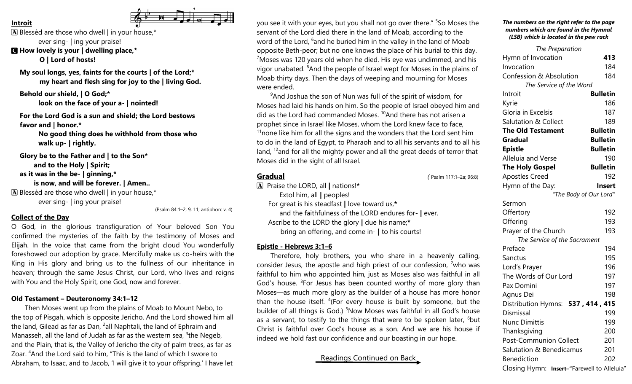### **Introit**

 $[A]$  Blessèd are those who dwell  $|$  in your house,\* ever sing- | ing your praise!

C **How lovely is your | dwelling place,\* O | Lord of hosts!**

**My soul longs, yes, faints for the courts | of the Lord;\* my heart and flesh sing for joy to the | living God.**

**Behold our shield, | O God;\***

**look on the face of your a- | nointed!**

**For the Lord God is a sun and shield; the Lord bestows favor and | honor.\***

> **No good thing does he withhold from those who walk up- | rightly.**

**Glory be to the Father and | to the Son\* and to the Holy | Spirit; as it was in the be- | ginning,\* is now, and will be forever. | Amen..**  $\mathbf{\overline{A}}$  Blessèd are those who dwell | in your house,\* ever sing- | ing your praise!

(Psalm 84:1–2, 9, 11; antiphon: v. 4)

## **Collect of the Day**

O God, in the glorious transfiguration of Your beloved Son You confirmed the mysteries of the faith by the testimony of Moses and Elijah. In the voice that came from the bright cloud You wonderfully foreshowed our adoption by grace. Mercifully make us co-heirs with the King in His glory and bring us to the fullness of our inheritance in heaven; through the same Jesus Christ, our Lord, who lives and reigns with You and the Holy Spirit, one God, now and forever.

### **Old Testament – Deuteronomy 34:1–12**

Then Moses went up from the plains of Moab to Mount Nebo, to the top of Pisgah, which is opposite Jericho. And the Lord showed him all the land, Gilead as far as Dan, <sup>2</sup>all Naphtali, the land of Ephraim and Manasseh, all the land of Judah as far as the western sea, <sup>3</sup>the Negeb, and the Plain, that is, the Valley of Jericho the city of palm trees, as far as Zoar. <sup>4</sup>And the Lord said to him, "This is the land of which I swore to Abraham, to Isaac, and to Jacob, 'I will give it to your offspring.' I have let

you see it with your eyes, but you shall not go over there." <sup>5</sup>So Moses the servant of the Lord died there in the land of Moab, according to the word of the Lord, <sup>6</sup>and he buried him in the valley in the land of Moab opposite Beth-peor; but no one knows the place of his burial to this day.  $7$ Moses was 120 years old when he died. His eye was undimmed, and his vigor unabated. <sup>8</sup>And the people of Israel wept for Moses in the plains of Moab thirty days. Then the days of weeping and mourning for Moses were ended.

<sup>9</sup>And Joshua the son of Nun was full of the spirit of wisdom, for Moses had laid his hands on him. So the people of Israel obeyed him and did as the Lord had commanded Moses.<sup>10</sup>And there has not arisen a prophet since in Israel like Moses, whom the Lord knew face to face,  $11$ none like him for all the signs and the wonders that the Lord sent him to do in the land of Egypt, to Pharaoh and to all his servants and to all his land, <sup>12</sup> and for all the mighty power and all the great deeds of terror that Moses did in the sight of all Israel.

#### **Gradual** *(* Psalm 117:1–2a; 96:8)

A Praise the LORD, all **|** nations!**\*** Extol him, all **|** peoples! For great is his steadfast **|** love toward us,**\*** and the faithfulness of the LORD endures for- **|** ever. Ascribe to the LORD the glory **|** due his name;**\*** bring an offering, and come in- **|** to his courts!

### **Epistle - Hebrews 3:1–6**

Therefore, holy brothers, you who share in a heavenly calling, consider Jesus, the apostle and high priest of our confession,  $2$ who was faithful to him who appointed him, just as Moses also was faithful in all God's house. <sup>3</sup>For Jesus has been counted worthy of more glory than Moses—as much more glory as the builder of a house has more honor than the house itself. <sup>4</sup>(For every house is built by someone, but the builder of all things is God.) <sup>5</sup>Now Moses was faithful in all God's house as a servant, to testify to the things that were to be spoken later,  $6$  but Christ is faithful over God's house as a son. And we are his house if indeed we hold fast our confidence and our boasting in our hope.

Readings Continued on Back

#### *The numbers on the right refer to the page numbers which are found in the Hymnal (LSB) which is located in the pew rack*

| The Preparation                            |                 |
|--------------------------------------------|-----------------|
| Hymn of Invocation                         | 413             |
| Invocation                                 | 184             |
| Confession & Absolution                    | 184             |
| The Service of the Word                    |                 |
| Introit                                    | <b>Bulletin</b> |
| Kyrie                                      | 186             |
| Gloria in Excelsis                         | 187             |
| <b>Salutation &amp; Collect</b>            | 189             |
| <b>The Old Testament</b>                   | <b>Bulletin</b> |
| Gradual                                    | <b>Bulletin</b> |
| <b>Epistle</b>                             | <b>Bulletin</b> |
| Alleluia and Verse                         | 190             |
| <b>The Holy Gospel</b>                     | <b>Bulletin</b> |
| <b>Apostles Creed</b>                      | 192             |
| Hymn of the Day:                           | Insert          |
| "The Body of Our Lord"                     |                 |
| Sermon                                     |                 |
| Offertory                                  | 192             |
| Offering                                   | 193             |
| Prayer of the Church                       | 193             |
| The Service of the Sacrament               |                 |
| Preface                                    | 194             |
| Sanctus                                    | 195             |
| Lord's Prayer                              | 196             |
| The Words of Our Lord                      | 197             |
| Pax Domini                                 | 197             |
| Agnus Dei                                  | 198             |
| Distribution Hymns: 537, 414, 415          |                 |
| Dismissal                                  | 199             |
| <b>Nunc Dimittis</b>                       | 199             |
| Thanksgiving                               | 200             |
| <b>Post-Communion Collect</b>              | 201             |
| Salutation & Benedicamus                   | 201             |
| <b>Benediction</b>                         | 202             |
| Closing Hymn: Insert-"Farewell to Alleluia |                 |